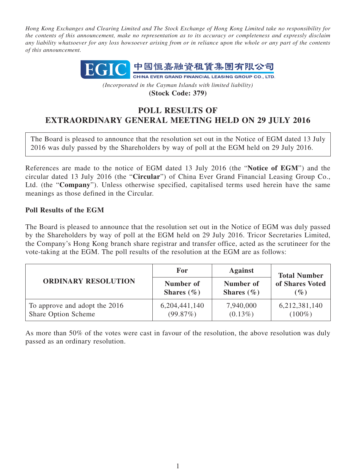*Hong Kong Exchanges and Clearing Limited and The Stock Exchange of Hong Kong Limited take no responsibility for the contents of this announcement, make no representation as to its accuracy or completeness and expressly disclaim any liability whatsoever for any loss howsoever arising from or in reliance upon the whole or any part of the contents of this announcement.*



*(Incorporated in the Cayman Islands with limited liability)* **(Stock Code: 379)**

## **POLL RESULTS OF EXTRAORDINARY GENERAL MEETING HELD ON 29 JULY 2016**

The Board is pleased to announce that the resolution set out in the Notice of EGM dated 13 July 2016 was duly passed by the Shareholders by way of poll at the EGM held on 29 July 2016.

References are made to the notice of EGM dated 13 July 2016 (the "**Notice of EGM**") and the circular dated 13 July 2016 (the "**Circular**") of China Ever Grand Financial Leasing Group Co., Ltd. (the "**Company**"). Unless otherwise specified, capitalised terms used herein have the same meanings as those defined in the Circular.

## **Poll Results of the EGM**

The Board is pleased to announce that the resolution set out in the Notice of EGM was duly passed by the Shareholders by way of poll at the EGM held on 29 July 2016. Tricor Secretaries Limited, the Company's Hong Kong branch share registrar and transfer office, acted as the scrutineer for the vote-taking at the EGM. The poll results of the resolution at the EGM are as follows:

| <b>ORDINARY RESOLUTION</b>                           | For                         | <b>Against</b>              | <b>Total Number</b><br>of Shares Voted<br>$(\%)$ |
|------------------------------------------------------|-----------------------------|-----------------------------|--------------------------------------------------|
|                                                      | Number of<br>Shares $(\% )$ | Number of<br>Shares $(\% )$ |                                                  |
| To approve and adopt the 2016<br>Share Option Scheme | 6,204,441,140<br>(99.87%)   | 7,940,000<br>$(0.13\%)$     | 6,212,381,140<br>$(100\%)$                       |

As more than 50% of the votes were cast in favour of the resolution, the above resolution was duly passed as an ordinary resolution.